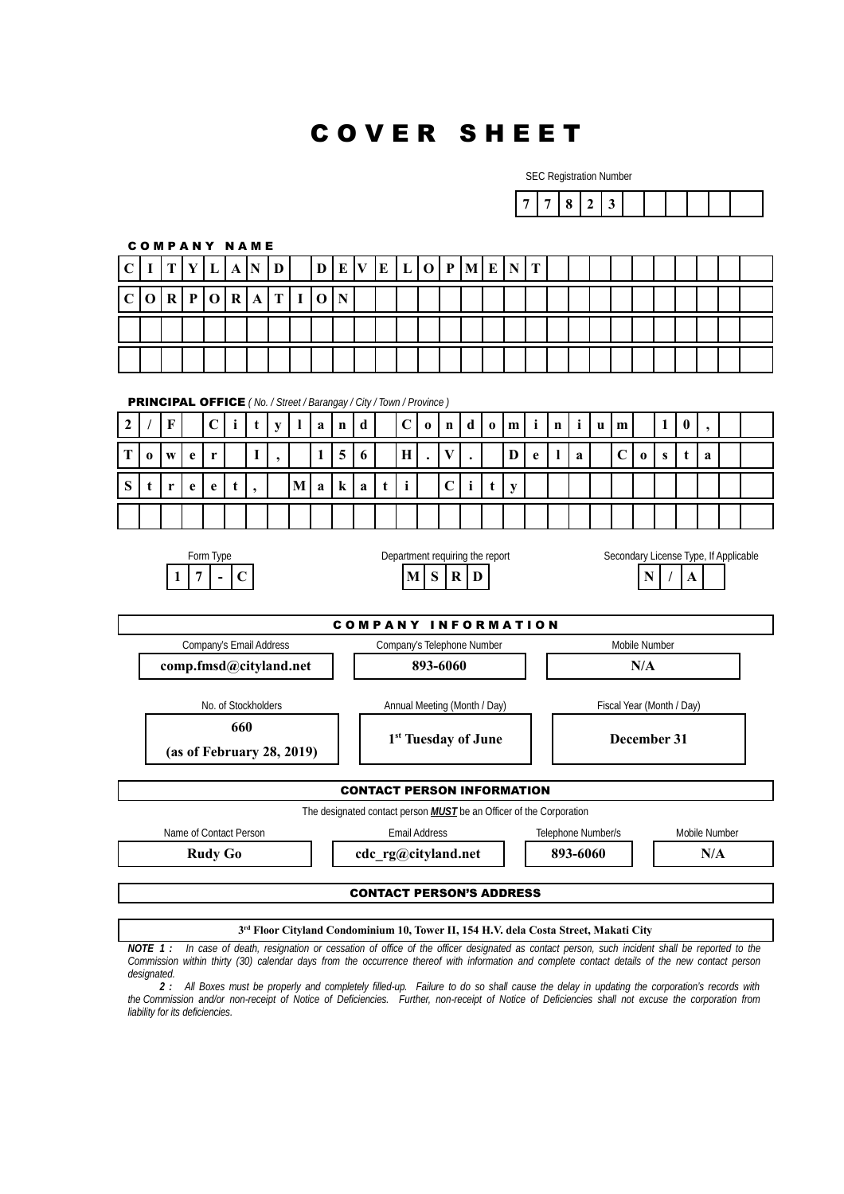## C O V E R S H E E T

SEC Registration Number  $7 \mid 7 \mid 8 \mid 2 \mid 3$ C O M P A N Y N A M E  $C$  | **I**  $|T|Y|L|A|N|D|$  |  $D$  |  $E|V|E|L|O|P|M|E|N|T$ **C O R P O R A T I O N** PRINCIPAL OFFICE *( No. / Street / Barangay / City / Town / Province )* **2 / F C i t y l a n d C o n d o m i n i u m 1 0 , T**  $\left[0, \frac{1}{2}\right]$  **v**  $\left[0, \frac{1}{2}\right]$  **1**  $\left[1, \frac{1}{2}\right]$  **1**  $\left[0, \frac{1}{2}\right]$  **1**  $\left[1, \frac{1}{2}\right]$  **1**  $\left[0, \frac{1}{2}\right]$  **1**  $\left[0, \frac{1}{2}\right]$  **1**  $\left[0, \frac{1}{2}\right]$  **1**  $\left[0, \frac{1}{2}\right]$  **1**  $\left[0, \frac{1}{2}\right]$  **1**  $\left[0, \$ **S t r e e t , M a k a t i C i t y** Form Type The Department requiring the report Secondary License Type, If Applicable **1** | **7**  $\vert \cdot \vert$  **C**  $\vert$  **M**  $\vert$  **S**  $\vert \mathbf{R} \vert$  **D**  $\vert$  **N**  $\vert \cdot \vert$  **A** COMPANY INFORMATION Company's Email Address Company's Telephone Number Mobile Number **comp.fmsd@cityland.net** | **893-6060 N/A** No. of Stockholders **Annual Meeting (Month / Day)** Fiscal Year (Month / Day) **660 (as of February 28, 2019) 1 st Tuesday of June December 31** CONTACT PERSON INFORMATION The designated contact person *MUST* be an Officer of the Corporation Name of Contact Person **Email Address** Email Address Telephone Number/s Mobile Number **Rudy Go cdc** rg@cityland.net  $\begin{array}{|c|c|c|c|c|} \hline \end{array}$  893-6060 **N/A** CONTACT PERSON'S ADDRESS

**3 rd Floor Cityland Condominium 10, Tower II, 154 H.V. dela Costa Street, Makati City**

*NOTE 1 : In case of death, resignation or cessation of office of the officer designated as contact person, such incident shall be reported to the Commission within thirty (30) calendar days from the occurrence thereof with information and complete contact details of the new contact person designated.*

*2 : All Boxes must be properly and completely filled-up. Failure to do so shall cause the delay in updating the corporation's records with the Commission and/or non-receipt of Notice of Deficiencies. Further, non-receipt of Notice of Deficiencies shall not excuse the corporation from liability for its deficiencies.*